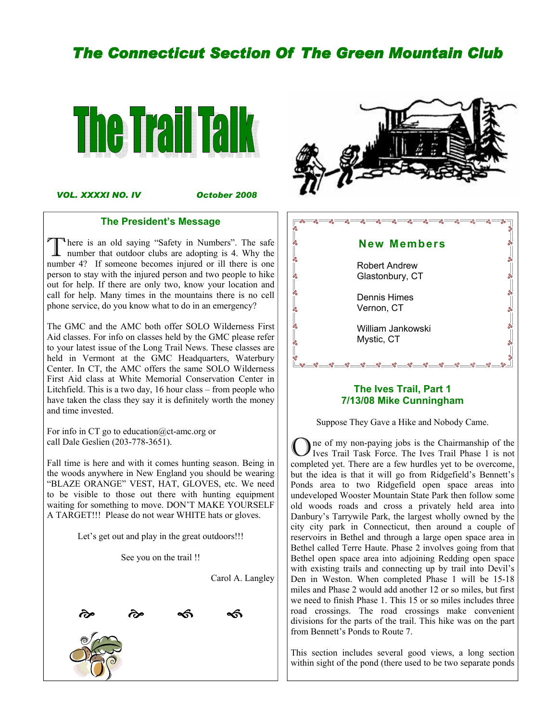# **The Connecticut Section Of The Green Mountain Club**



VOL. XXXXI NO. IV

October 2008

#### The President's Message

There is an old saying "Safety in Numbers". The safe<br>number that outdoor clubs are adopting is 4. Why the<br>number 42. If assumes because injured an ill there is an number 4? If someone becomes injured or ill there is one person to stay with the injured person and two people to hike out for help. If there are only two, know your location and call for help. Many times in the mountains there is no cell phone service, do you know what to do in an emergency?

The GMC and the AMC both offer SOLO Wilderness First Aid classes. For info on classes held by the GMC please refer to your latest issue of the Long Trail News. These classes are held in Vermont at the GMC Headquarters, Waterbury Center. In CT, the AMC offers the same SOLO Wilderness First Aid class at White Memorial Conservation Center in Litchfield. This is a two day, 16 hour class – from people who have taken the class they say it is definitely worth the money and time invested.

For info in CT go to education@ct-amc.org or call Dale Geslien (203-778-3651).

Fall time is here and with it comes hunting season. Being in the woods anywhere in New England you should be wearing "BLAZE ORANGE" VEST, HAT, GLOVES, etc. We need to be visible to those out there with hunting equipment waiting for something to move. DON'T MAKE YOURSELF A TARGET!!! Please do not wear WHITE hats or gloves.

Let's get out and play in the great outdoors!!!

See you on the trail !!

Carol A. Langley







# 7/13/08 Mike Cunningham

Suppose They Gave a Hike and Nobody Came.

One of my non-paying jobs is the Chairmanship of the Ives Trail Task Force. The Ives Trail Phase 1 is not completed yet. There are a few hurdles yet to be overcome, but the idea is that it will go from Ridgefield's Bennett's Ponds area to two Ridgefield open space areas into undeveloped Wooster Mountain State Park then follow some old woods roads and cross a privately held area into Danbury's Tarrywile Park, the largest wholly owned by the city city park in Connecticut, then around a couple of reservoirs in Bethel and through a large open space area in Bethel called Terre Haute. Phase 2 involves going from that Bethel open space area into adjoining Redding open space with existing trails and connecting up by trail into Devil's Den in Weston. When completed Phase 1 will be 15-18 miles and Phase 2 would add another 12 or so miles, but first we need to finish Phase 1. This 15 or so miles includes three road crossings. The road crossings make convenient divisions for the parts of the trail. This hike was on the part from Bennett's Ponds to Route 7.

This section includes several good views, a long section within sight of the pond (there used to be two separate ponds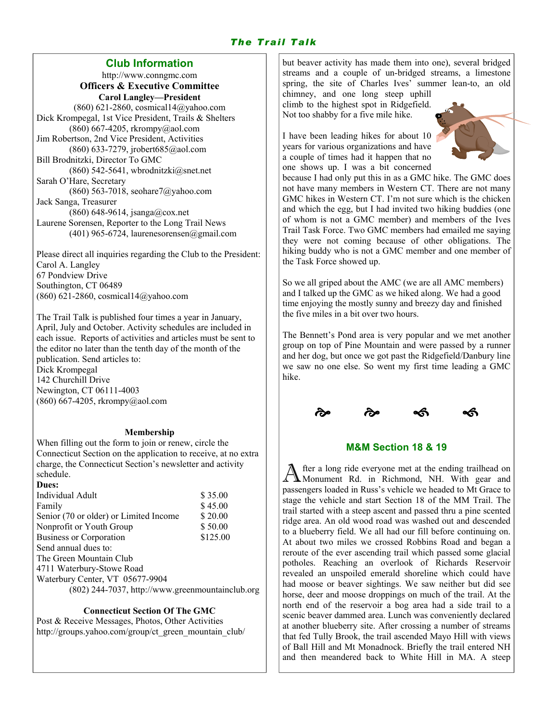# The Trail Talk

## Club Information

http://www.conngmc.com Officers & Executive Committee Carol Langley—President (860) 621-2860, cosmical14@yahoo.com Dick Krompegal, 1st Vice President, Trails & Shelters (860) 667-4205, rkrompy@aol.com Jim Robertson, 2nd Vice President, Activities (860) 633-7279, jrobert685@aol.com Bill Brodnitzki, Director To GMC (860) 542-5641, wbrodnitzki $@$ snet.net Sarah O'Hare, Secretary  $(860)$  563-7018, seohare7@yahoo.com Jack Sanga, Treasurer (860) 648-9614, jsanga@cox.net Laurene Sorensen, Reporter to the Long Trail News  $(401)$  965-6724, laurenesorensen@gmail.com

Please direct all inquiries regarding the Club to the President: Carol A. Langley 67 Pondview Drive Southington, CT 06489 (860) 621-2860, cosmical14@yahoo.com

The Trail Talk is published four times a year in January, April, July and October. Activity schedules are included in each issue. Reports of activities and articles must be sent to the editor no later than the tenth day of the month of the publication. Send articles to: Dick Krompegal 142 Churchill Drive Newington, CT 06111-4003 (860) 667-4205, rkrompy@aol.com

#### Membership

When filling out the form to join or renew, circle the Connecticut Section on the application to receive, at no extra charge, the Connecticut Section's newsletter and activity schedule.

 $\mathbf{D}$ 

| <i>Dues:</i>                                     |          |
|--------------------------------------------------|----------|
| Individual Adult                                 | \$35.00  |
| Family                                           | \$45.00  |
| Senior (70 or older) or Limited Income           | \$20.00  |
| Nonprofit or Youth Group                         | \$50.00  |
| Business or Corporation                          | \$125.00 |
| Send annual dues to:                             |          |
| The Green Mountain Club                          |          |
| 4711 Waterbury-Stowe Road                        |          |
| Waterbury Center, VT 05677-9904                  |          |
| (802) 244-7037, http://www.greenmountainclub.org |          |
|                                                  |          |

#### Connecticut Section Of The GMC

Post & Receive Messages, Photos, Other Activities http://groups.yahoo.com/group/ct\_green\_mountain\_club/ but beaver activity has made them into one), several bridged streams and a couple of un-bridged streams, a limestone spring, the site of Charles Ives' summer lean-to, an old

chimney, and one long steep uphill climb to the highest spot in Ridgefield. Not too shabby for a five mile hike.

I have been leading hikes for about 10 years for various organizations and have a couple of times had it happen that no one shows up. I was a bit concerned



because I had only put this in as a GMC hike. The GMC does not have many members in Western CT. There are not many GMC hikes in Western CT. I'm not sure which is the chicken and which the egg, but I had invited two hiking buddies (one of whom is not a GMC member) and members of the Ives Trail Task Force. Two GMC members had emailed me saying they were not coming because of other obligations. The hiking buddy who is not a GMC member and one member of the Task Force showed up.

So we all griped about the AMC (we are all AMC members) and I talked up the GMC as we hiked along. We had a good time enjoying the mostly sunny and breezy day and finished the five miles in a bit over two hours.

The Bennett's Pond area is very popular and we met another group on top of Pine Mountain and were passed by a runner and her dog, but once we got past the Ridgefield/Danbury line we saw no one else. So went my first time leading a GMC hike.



# M&M Section 18 & 19

A fter a long ride everyone met at the ending trailhead on Monument Rd. in Richmond, NH. With gear and passengers loaded in Russ's vehicle we headed to Mt Grace to stage the vehicle and start Section 18 of the MM Trail. The trail started with a steep ascent and passed thru a pine scented ridge area. An old wood road was washed out and descended to a blueberry field. We all had our fill before continuing on. At about two miles we crossed Robbins Road and began a reroute of the ever ascending trail which passed some glacial potholes. Reaching an overlook of Richards Reservoir revealed an unspoiled emerald shoreline which could have had moose or beaver sightings. We saw neither but did see horse, deer and moose droppings on much of the trail. At the north end of the reservoir a bog area had a side trail to a scenic beaver dammed area. Lunch was conveniently declared at another blueberry site. After crossing a number of streams that fed Tully Brook, the trail ascended Mayo Hill with views of Ball Hill and Mt Monadnock. Briefly the trail entered NH and then meandered back to White Hill in MA. A steep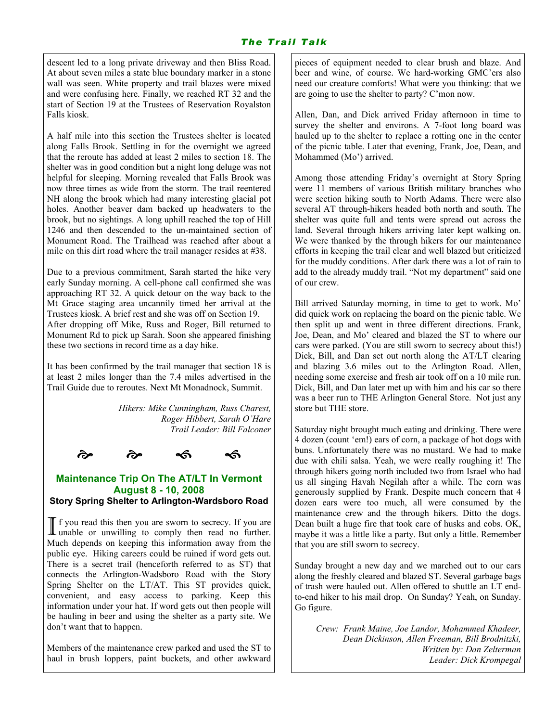descent led to a long private driveway and then Bliss Road. At about seven miles a state blue boundary marker in a stone wall was seen. White property and trail blazes were mixed and were confusing here. Finally, we reached RT 32 and the start of Section 19 at the Trustees of Reservation Royalston Falls kiosk.

A half mile into this section the Trustees shelter is located along Falls Brook. Settling in for the overnight we agreed that the reroute has added at least 2 miles to section 18. The shelter was in good condition but a night long deluge was not helpful for sleeping. Morning revealed that Falls Brook was now three times as wide from the storm. The trail reentered NH along the brook which had many interesting glacial pot holes. Another beaver dam backed up headwaters to the brook, but no sightings. A long uphill reached the top of Hill 1246 and then descended to the un-maintained section of Monument Road. The Trailhead was reached after about a mile on this dirt road where the trail manager resides at #38.

Due to a previous commitment, Sarah started the hike very early Sunday morning. A cell-phone call confirmed she was approaching RT 32. A quick detour on the way back to the Mt Grace staging area uncannily timed her arrival at the Trustees kiosk. A brief rest and she was off on Section 19. After dropping off Mike, Russ and Roger, Bill returned to Monument Rd to pick up Sarah. Soon she appeared finishing these two sections in record time as a day hike.

It has been confirmed by the trail manager that section 18 is at least 2 miles longer than the 7.4 miles advertised in the Trail Guide due to reroutes. Next Mt Monadnock, Summit.

> Hikers: Mike Cunningham, Russ Charest, Roger Hibbert, Sarah O'Hare Trail Leader: Bill Falconer

्<br>लेख के प**ी** 

don't want that to happen.



## Maintenance Trip On The AT/LT In Vermont August 8 - 10, 2008 Story Spring Shelter to Arlington-Wardsboro Road

If you read this then you are sworn to secrecy. If you are unable or unwilling to comply then read no further. Much depends on keeping this information away from the public eye. Hiking careers could be ruined if word gets out. There is a secret trail (henceforth referred to as ST) that connects the Arlington-Wadsboro Road with the Story Spring Shelter on the LT/AT. This ST provides quick, convenient, and easy access to parking. Keep this information under your hat. If word gets out then people will be hauling in beer and using the shelter as a party site. We

Members of the maintenance crew parked and used the ST to haul in brush loppers, paint buckets, and other awkward

pieces of equipment needed to clear brush and blaze. And beer and wine, of course. We hard-working GMC'ers also need our creature comforts! What were you thinking: that we are going to use the shelter to party? C'mon now.

Allen, Dan, and Dick arrived Friday afternoon in time to survey the shelter and environs. A 7-foot long board was hauled up to the shelter to replace a rotting one in the center of the picnic table. Later that evening, Frank, Joe, Dean, and Mohammed (Mo') arrived.

Among those attending Friday's overnight at Story Spring were 11 members of various British military branches who were section hiking south to North Adams. There were also several AT through-hikers headed both north and south. The shelter was quite full and tents were spread out across the land. Several through hikers arriving later kept walking on. We were thanked by the through hikers for our maintenance efforts in keeping the trail clear and well blazed but criticized for the muddy conditions. After dark there was a lot of rain to add to the already muddy trail. "Not my department" said one of our crew.

Bill arrived Saturday morning, in time to get to work. Mo' did quick work on replacing the board on the picnic table. We then split up and went in three different directions. Frank, Joe, Dean, and Mo' cleared and blazed the ST to where our cars were parked. (You are still sworn to secrecy about this!) Dick, Bill, and Dan set out north along the AT/LT clearing and blazing 3.6 miles out to the Arlington Road. Allen, needing some exercise and fresh air took off on a 10 mile run. Dick, Bill, and Dan later met up with him and his car so there was a beer run to THE Arlington General Store. Not just any store but THE store.

Saturday night brought much eating and drinking. There were 4 dozen (count 'em!) ears of corn, a package of hot dogs with buns. Unfortunately there was no mustard. We had to make due with chili salsa. Yeah, we were really roughing it! The through hikers going north included two from Israel who had us all singing Havah Negilah after a while. The corn was generously supplied by Frank. Despite much concern that 4 dozen ears were too much, all were consumed by the maintenance crew and the through hikers. Ditto the dogs. Dean built a huge fire that took care of husks and cobs. OK, maybe it was a little like a party. But only a little. Remember that you are still sworn to secrecy.

Sunday brought a new day and we marched out to our cars along the freshly cleared and blazed ST. Several garbage bags of trash were hauled out. Allen offered to shuttle an LT endto-end hiker to his mail drop. On Sunday? Yeah, on Sunday. Go figure.

Crew: Frank Maine, Joe Landor, Mohammed Khadeer, Dean Dickinson, Allen Freeman, Bill Brodnitzki, Written by: Dan Zelterman Leader: Dick Krompegal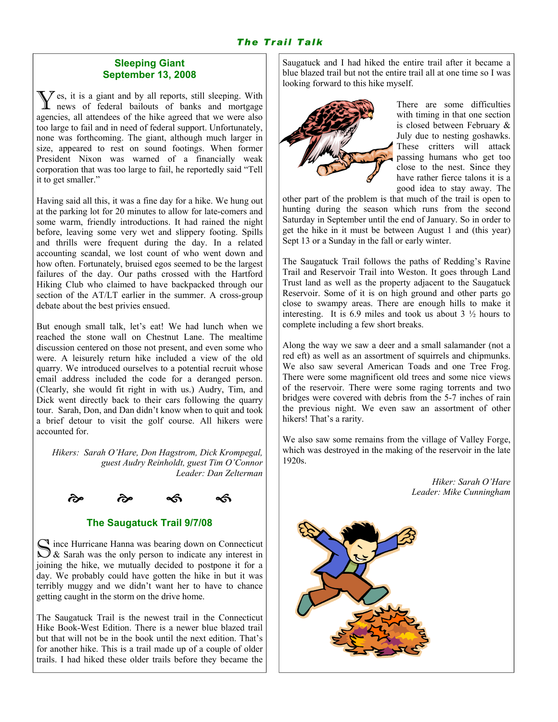## Sleeping Giant September 13, 2008

 $\sum \zeta$  es, it is a giant and by all reports, still sleeping. With news of federal bailouts of banks and mortgage agencies, all attendees of the hike agreed that we were also too large to fail and in need of federal support. Unfortunately, none was forthcoming. The giant, although much larger in size, appeared to rest on sound footings. When former President Nixon was warned of a financially weak corporation that was too large to fail, he reportedly said "Tell it to get smaller."

Having said all this, it was a fine day for a hike. We hung out at the parking lot for 20 minutes to allow for late-comers and some warm, friendly introductions. It had rained the night before, leaving some very wet and slippery footing. Spills and thrills were frequent during the day. In a related accounting scandal, we lost count of who went down and how often. Fortunately, bruised egos seemed to be the largest failures of the day. Our paths crossed with the Hartford Hiking Club who claimed to have backpacked through our section of the AT/LT earlier in the summer. A cross-group debate about the best privies ensued.

But enough small talk, let's eat! We had lunch when we reached the stone wall on Chestnut Lane. The mealtime discussion centered on those not present, and even some who were. A leisurely return hike included a view of the old quarry. We introduced ourselves to a potential recruit whose email address included the code for a deranged person. (Clearly, she would fit right in with us.) Audry, Tim, and Dick went directly back to their cars following the quarry tour. Sarah, Don, and Dan didn't know when to quit and took a brief detour to visit the golf course. All hikers were accounted for.

Hikers: Sarah O'Hare, Don Hagstrom, Dick Krompegal, guest Audry Reinholdt, guest Tim O'Connor Leader: Dan Zelterman



# The Saugatuck Trail 9/7/08

 $\sum$  ince Hurricane Hanna was bearing down on Connecticut  $\sum$  & Sarah was the only person to indicate any interest in joining the hike, we mutually decided to postpone it for a day. We probably could have gotten the hike in but it was terribly muggy and we didn't want her to have to chance getting caught in the storm on the drive home.

The Saugatuck Trail is the newest trail in the Connecticut Hike Book-West Edition. There is a newer blue blazed trail but that will not be in the book until the next edition. That's for another hike. This is a trail made up of a couple of older trails. I had hiked these older trails before they became the Saugatuck and I had hiked the entire trail after it became a blue blazed trail but not the entire trail all at one time so I was looking forward to this hike myself.



There are some difficulties with timing in that one section is closed between February & July due to nesting goshawks. These critters will attack passing humans who get too close to the nest. Since they have rather fierce talons it is a good idea to stay away. The

other part of the problem is that much of the trail is open to hunting during the season which runs from the second Saturday in September until the end of January. So in order to get the hike in it must be between August 1 and (this year) Sept 13 or a Sunday in the fall or early winter.

The Saugatuck Trail follows the paths of Redding's Ravine Trail and Reservoir Trail into Weston. It goes through Land Trust land as well as the property adjacent to the Saugatuck Reservoir. Some of it is on high ground and other parts go close to swampy areas. There are enough hills to make it interesting. It is 6.9 miles and took us about  $3\frac{1}{2}$  hours to complete including a few short breaks.

Along the way we saw a deer and a small salamander (not a red eft) as well as an assortment of squirrels and chipmunks. We also saw several American Toads and one Tree Frog. There were some magnificent old trees and some nice views of the reservoir. There were some raging torrents and two bridges were covered with debris from the 5-7 inches of rain the previous night. We even saw an assortment of other hikers! That's a rarity.

We also saw some remains from the village of Valley Forge, which was destroyed in the making of the reservoir in the late 1920s.

> Hiker: Sarah O'Hare Leader: Mike Cunningham

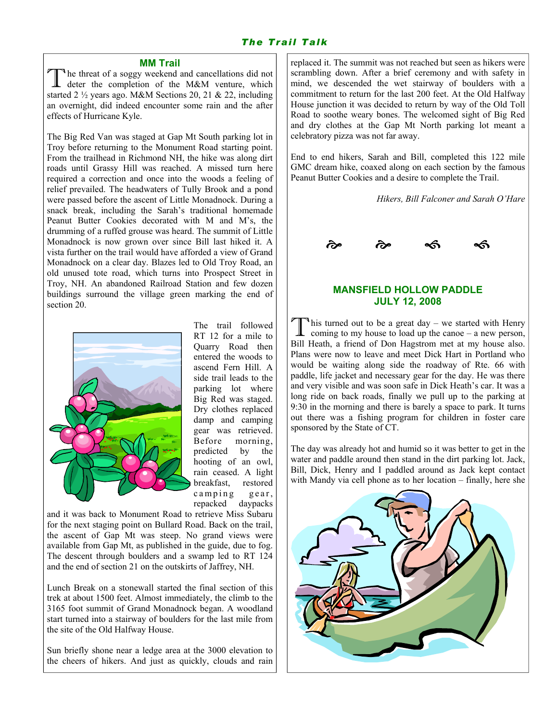# The Trail Talk

#### MM Trail

The threat of a soggy weekend and cancellations did not deter the completion of the M&M venture, which started 2 ½ years ago. M&M Sections 20, 21 & 22, including an overnight, did indeed encounter some rain and the after effects of Hurricane Kyle.

The Big Red Van was staged at Gap Mt South parking lot in Troy before returning to the Monument Road starting point. From the trailhead in Richmond NH, the hike was along dirt roads until Grassy Hill was reached. A missed turn here required a correction and once into the woods a feeling of relief prevailed. The headwaters of Tully Brook and a pond were passed before the ascent of Little Monadnock. During a snack break, including the Sarah's traditional homemade Peanut Butter Cookies decorated with M and M's, the drumming of a ruffed grouse was heard. The summit of Little Monadnock is now grown over since Bill last hiked it. A vista further on the trail would have afforded a view of Grand Monadnock on a clear day. Blazes led to Old Troy Road, an old unused tote road, which turns into Prospect Street in Troy, NH. An abandoned Railroad Station and few dozen buildings surround the village green marking the end of section 20.



The trail followed RT 12 for a mile to Quarry Road then entered the woods to ascend Fern Hill. A side trail leads to the parking lot where Big Red was staged. Dry clothes replaced damp and camping gear was retrieved. Before morning, predicted by the hooting of an owl, rain ceased. A light breakfast, restored camping gear, repacked daypacks

and it was back to Monument Road to retrieve Miss Subaru for the next staging point on Bullard Road. Back on the trail, the ascent of Gap Mt was steep. No grand views were available from Gap Mt, as published in the guide, due to fog. The descent through boulders and a swamp led to RT 124 and the end of section 21 on the outskirts of Jaffrey, NH.

Lunch Break on a stonewall started the final section of this trek at about 1500 feet. Almost immediately, the climb to the 3165 foot summit of Grand Monadnock began. A woodland start turned into a stairway of boulders for the last mile from the site of the Old Halfway House.

Sun briefly shone near a ledge area at the 3000 elevation to the cheers of hikers. And just as quickly, clouds and rain replaced it. The summit was not reached but seen as hikers were scrambling down. After a brief ceremony and with safety in mind, we descended the wet stairway of boulders with a commitment to return for the last 200 feet. At the Old Halfway House junction it was decided to return by way of the Old Toll Road to soothe weary bones. The welcomed sight of Big Red and dry clothes at the Gap Mt North parking lot meant a celebratory pizza was not far away.

End to end hikers, Sarah and Bill, completed this 122 mile GMC dream hike, coaxed along on each section by the famous Peanut Butter Cookies and a desire to complete the Trail.

Hikers, Bill Falconer and Sarah O'Hare



### MANSFIELD HOLLOW PADDLE JULY 12, 2008

This turned out to be a great day – we started with Henry coming to my house to load up the canoe – a new person, Bill Heath, a friend of Don Hagstrom met at my house also. Plans were now to leave and meet Dick Hart in Portland who would be waiting along side the roadway of Rte. 66 with paddle, life jacket and necessary gear for the day. He was there and very visible and was soon safe in Dick Heath's car. It was a long ride on back roads, finally we pull up to the parking at 9:30 in the morning and there is barely a space to park. It turns out there was a fishing program for children in foster care sponsored by the State of CT.

The day was already hot and humid so it was better to get in the water and paddle around then stand in the dirt parking lot. Jack, Bill, Dick, Henry and I paddled around as Jack kept contact with Mandy via cell phone as to her location – finally, here she

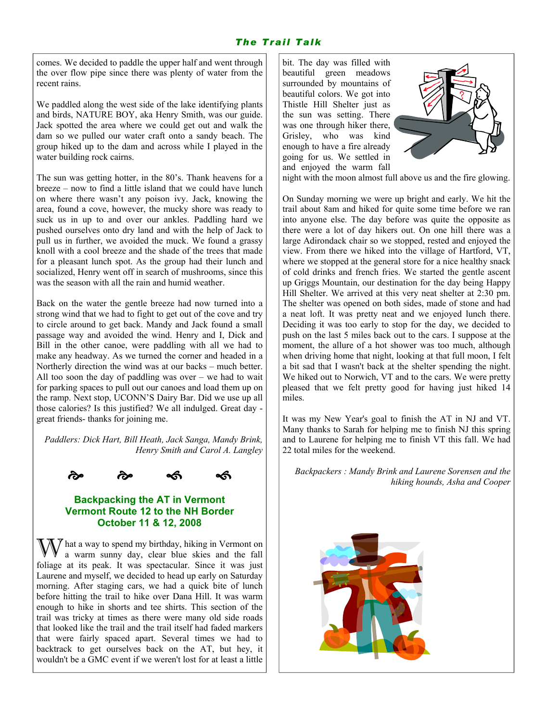comes. We decided to paddle the upper half and went through the over flow pipe since there was plenty of water from the recent rains.

We paddled along the west side of the lake identifying plants and birds, NATURE BOY, aka Henry Smith, was our guide. Jack spotted the area where we could get out and walk the dam so we pulled our water craft onto a sandy beach. The group hiked up to the dam and across while I played in the water building rock cairns.

The sun was getting hotter, in the 80's. Thank heavens for a breeze – now to find a little island that we could have lunch on where there wasn't any poison ivy. Jack, knowing the area, found a cove, however, the mucky shore was ready to suck us in up to and over our ankles. Paddling hard we pushed ourselves onto dry land and with the help of Jack to pull us in further, we avoided the muck. We found a grassy knoll with a cool breeze and the shade of the trees that made for a pleasant lunch spot. As the group had their lunch and socialized, Henry went off in search of mushrooms, since this was the season with all the rain and humid weather.

Back on the water the gentle breeze had now turned into a strong wind that we had to fight to get out of the cove and try to circle around to get back. Mandy and Jack found a small passage way and avoided the wind. Henry and I, Dick and Bill in the other canoe, were paddling with all we had to make any headway. As we turned the corner and headed in a Northerly direction the wind was at our backs – much better. All too soon the day of paddling was over – we had to wait for parking spaces to pull out our canoes and load them up on the ramp. Next stop, UCONN'S Dairy Bar. Did we use up all those calories? Is this justified? We all indulged. Great day great friends- thanks for joining me.

Paddlers: Dick Hart, Bill Heath, Jack Sanga, Mandy Brink, Henry Smith and Carol A. Langley



## Backpacking the AT in Vermont Vermont Route 12 to the NH Border October 11 & 12, 2008

 $\overline{y}$  hat a way to spend my birthday, hiking in Vermont on a warm sunny day, clear blue skies and the fall foliage at its peak. It was spectacular. Since it was just Laurene and myself, we decided to head up early on Saturday morning. After staging cars, we had a quick bite of lunch before hitting the trail to hike over Dana Hill. It was warm enough to hike in shorts and tee shirts. This section of the trail was tricky at times as there were many old side roads that looked like the trail and the trail itself had faded markers that were fairly spaced apart. Several times we had to backtrack to get ourselves back on the AT, but hey, it wouldn't be a GMC event if we weren't lost for at least a little bit. The day was filled with beautiful green meadows surrounded by mountains of beautiful colors. We got into Thistle Hill Shelter just as the sun was setting. There was one through hiker there, Grisley, who was kind enough to have a fire already going for us. We settled in and enjoyed the warm fall



night with the moon almost full above us and the fire glowing.

On Sunday morning we were up bright and early. We hit the trail about 8am and hiked for quite some time before we ran into anyone else. The day before was quite the opposite as there were a lot of day hikers out. On one hill there was a large Adirondack chair so we stopped, rested and enjoyed the view. From there we hiked into the village of Hartford, VT, where we stopped at the general store for a nice healthy snack of cold drinks and french fries. We started the gentle ascent up Griggs Mountain, our destination for the day being Happy Hill Shelter. We arrived at this very neat shelter at 2:30 pm. The shelter was opened on both sides, made of stone and had a neat loft. It was pretty neat and we enjoyed lunch there. Deciding it was too early to stop for the day, we decided to push on the last 5 miles back out to the cars. I suppose at the moment, the allure of a hot shower was too much, although when driving home that night, looking at that full moon, I felt a bit sad that I wasn't back at the shelter spending the night. We hiked out to Norwich, VT and to the cars. We were pretty pleased that we felt pretty good for having just hiked 14 miles.

It was my New Year's goal to finish the AT in NJ and VT. Many thanks to Sarah for helping me to finish NJ this spring and to Laurene for helping me to finish VT this fall. We had 22 total miles for the weekend.

Backpackers : Mandy Brink and Laurene Sorensen and the hiking hounds, Asha and Cooper

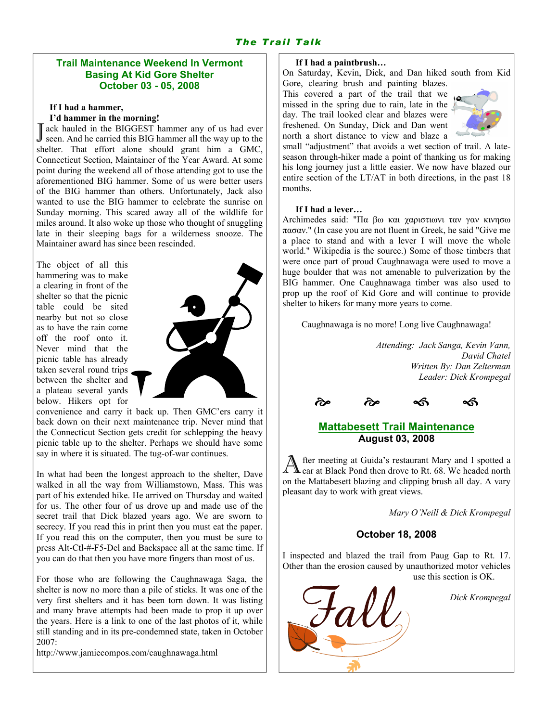# The Trail Talk

## Trail Maintenance Weekend In Vermont Basing At Kid Gore Shelter October 03 - 05, 2008

#### If I had a hammer,

#### I'd hammer in the morning!

J ack hauled in the BIGGEST hammer any of us had ever<br>J seen. And he carried this BIG hammer all the way up to the seen. And he carried this BIG hammer all the way up to the shelter. That effort alone should grant him a GMC, Connecticut Section, Maintainer of the Year Award. At some point during the weekend all of those attending got to use the aforementioned BIG hammer. Some of us were better users of the BIG hammer than others. Unfortunately, Jack also wanted to use the BIG hammer to celebrate the sunrise on Sunday morning. This scared away all of the wildlife for miles around. It also woke up those who thought of snuggling late in their sleeping bags for a wilderness snooze. The Maintainer award has since been rescinded.

The object of all this hammering was to make a clearing in front of the shelter so that the picnic table could be sited nearby but not so close as to have the rain come off the roof onto it. Never mind that the picnic table has already taken several round trips between the shelter and a plateau several yards below. Hikers opt for



convenience and carry it back up. Then GMC'ers carry it back down on their next maintenance trip. Never mind that the Connecticut Section gets credit for schlepping the heavy picnic table up to the shelter. Perhaps we should have some say in where it is situated. The tug-of-war continues.

In what had been the longest approach to the shelter, Dave walked in all the way from Williamstown, Mass. This was part of his extended hike. He arrived on Thursday and waited for us. The other four of us drove up and made use of the secret trail that Dick blazed years ago. We are sworn to secrecy. If you read this in print then you must eat the paper. If you read this on the computer, then you must be sure to press Alt-Ctl-#-F5-Del and Backspace all at the same time. If you can do that then you have more fingers than most of us.

For those who are following the Caughnawaga Saga, the shelter is now no more than a pile of sticks. It was one of the very first shelters and it has been torn down. It was listing and many brave attempts had been made to prop it up over the years. Here is a link to one of the last photos of it, while still standing and in its pre-condemned state, taken in October 2007:

http://www.jamiecompos.com/caughnawaga.html

#### If I had a paintbrush…

On Saturday, Kevin, Dick, and Dan hiked south from Kid Gore, clearing brush and painting blazes.

This covered a part of the trail that we missed in the spring due to rain, late in the day. The trail looked clear and blazes were freshened. On Sunday, Dick and Dan went north a short distance to view and blaze a



small "adjustment" that avoids a wet section of trail. A lateseason through-hiker made a point of thanking us for making his long journey just a little easier. We now have blazed our entire section of the LT/AT in both directions, in the past 18 months.

#### If I had a lever…

Archimedes said: "Πα βω και χαριστιωνι ταν γαν κινησω πασαν." (In case you are not fluent in Greek, he said "Give me a place to stand and with a lever I will move the whole world." Wikipedia is the source.) Some of those timbers that were once part of proud Caughnawaga were used to move a huge boulder that was not amenable to pulverization by the BIG hammer. One Caughnawaga timber was also used to prop up the roof of Kid Gore and will continue to provide shelter to hikers for many more years to come.

Caughnawaga is no more! Long live Caughnawaga!

Attending: Jack Sanga, Kevin Vann, David Chatel Written By: Dan Zelterman Leader: Dick Krompegal



## Mattabesett Trail Maintenance August 03, 2008

fter meeting at Guida's restaurant Mary and I spotted a car at Black Pond then drove to Rt. 68. We headed north on the Mattabesett blazing and clipping brush all day. A vary pleasant day to work with great views.

Mary O'Neill & Dick Krompegal

#### October 18, 2008

I inspected and blazed the trail from Paug Gap to Rt. 17. Other than the erosion caused by unauthorized motor vehicles use this section is OK.



Dick Krompegal